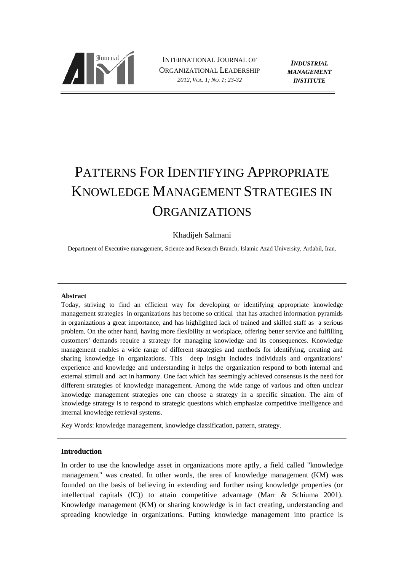

INTERNATIONAL JOURNAL OF ORGANIZATIONAL LEADERSHIP *2012, VOL. 1; NO. 1; 23-32*

*INDUSTRIAL MANAGEMENT INSTITUTE*

# PATTERNS FOR IDENTIFYING APPROPRIATE KNOWLEDGE MANAGEMENT STRATEGIES IN ORGANIZATIONS

# Khadijeh Salmani

Department of Executive management, Science and Research Branch, Islamic Azad University, Ardabil, Iran.

#### **Abstract**

Today, striving to find an efficient way for developing or identifying appropriate knowledge management strategies in organizations has become so critical that has attached information pyramids in organizations a great importance, and has highlighted lack of trained and skilled staff as a serious problem. On the other hand, having more flexibility at workplace, offering better service and fulfilling customers' demands require a strategy for managing knowledge and its consequences. Knowledge management enables a wide range of different strategies and methods for identifying, creating and sharing knowledge in organizations. This deep insight includes individuals and organizations' experience and knowledge and understanding it helps the organization respond to both internal and external stimuli and act in harmony. One fact which has seemingly achieved consensus is the need for different strategies of knowledge management. Among the wide range of various and often unclear knowledge management strategies one can choose a strategy in a specific situation. The aim of knowledge strategy is to respond to strategic questions which emphasize competitive intelligence and internal knowledge retrieval systems.

Key Words: knowledge management, knowledge classification, pattern, strategy.

# **Introduction**

In order to use the knowledge asset in organizations more aptly, a field called "knowledge management" was created. In other words, the area of knowledge management (KM) was founded on the basis of believing in extending and further using knowledge properties (or intellectual capitals (IC)) to attain competitive advantage (Marr & Schiuma 2001). Knowledge management (KM) or sharing knowledge is in fact creating, understanding and spreading knowledge in organizations. Putting knowledge management into practice is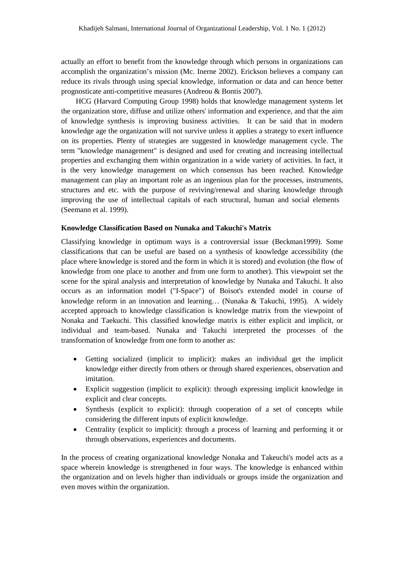actually an effort to benefit from the knowledge through which persons in organizations can accomplish the organization's mission (Mc. Inerne 2002). Erickson believes a company can reduce its rivals through using special knowledge, information or data and can hence better prognosticate anti-competitive measures (Andreou & Bontis 2007).

HCG (Harvard Computing Group 1998) holds that knowledge management systems let the organization store, diffuse and utilize others' information and experience, and that the aim of knowledge synthesis is improving business activities. It can be said that in modern knowledge age the organization will not survive unless it applies a strategy to exert influence on its properties. Plenty of strategies are suggested in knowledge management cycle. The term "knowledge management" is designed and used for creating and increasing intellectual properties and exchanging them within organization in a wide variety of activities. In fact, it is the very knowledge management on which consensus has been reached. Knowledge management can play an important role as an ingenious plan for the processes, instruments, structures and etc. with the purpose of reviving/renewal and sharing knowledge through improving the use of intellectual capitals of each structural, human and social elements (Seemann et al. 1999).

#### **Knowledge Classification Based on Nunaka and Takuchi's Matrix**

Classifying knowledge in optimum ways is a controversial issue (Beckman1999). Some classifications that can be useful are based on a synthesis of knowledge accessibility (the place where knowledge is stored and the form in which it is stored) and evolution (the flow of knowledge from one place to another and from one form to another). This viewpoint set the scene for the spiral analysis and interpretation of knowledge by Nunaka and Takuchi. It also occurs as an information model ("I-Space") of Boisot's extended model in course of knowledge reform in an innovation and learning… (Nunaka & Takuchi, 1995). A widely accepted approach to knowledge classification is knowledge matrix from the viewpoint of Nonaka and Taekuchi. This classified knowledge matrix is either explicit and implicit, or individual and team-based. Nunaka and Takuchi interpreted the processes of the transformation of knowledge from one form to another as:

- Getting socialized (implicit to implicit): makes an individual get the implicit knowledge either directly from others or through shared experiences, observation and imitation.
- · Explicit suggestion (implicit to explicit): through expressing implicit knowledge in explicit and clear concepts.
- Synthesis (explicit to explicit): through cooperation of a set of concepts while considering the different inputs of explicit knowledge.
- Centrality (explicit to implicit): through a process of learning and performing it or through observations, experiences and documents.

In the process of creating organizational knowledge Nonaka and Takeuchi's model acts as a space wherein knowledge is strengthened in four ways. The knowledge is enhanced within the organization and on levels higher than individuals or groups inside the organization and even moves within the organization.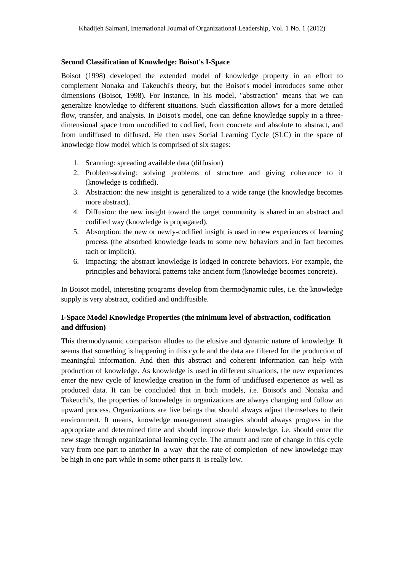# **Second Classification of Knowledge: Boisot's I-Space**

Boisot (1998) developed the extended model of knowledge property in an effort to complement Nonaka and Takeuchi's theory, but the Boisot's model introduces some other dimensions (Boisot, 1998). For instance, in his model, "abstraction" means that we can generalize knowledge to different situations. Such classification allows for a more detailed flow, transfer, and analysis. In Boisot's model, one can define knowledge supply in a threedimensional space from uncodified to codified, from concrete and absolute to abstract, and from undiffused to diffused. He then uses Social Learning Cycle (SLC) in the space of knowledge flow model which is comprised of six stages:

- 1. Scanning: spreading available data (diffusion)
- 2. Problem-solving: solving problems of structure and giving coherence to it (knowledge is codified).
- 3. Abstraction: the new insight is generalized to a wide range (the knowledge becomes more abstract).
- 4. Diffusion: the new insight toward the target community is shared in an abstract and codified way (knowledge is propagated).
- 5. Absorption: the new or newly-codified insight is used in new experiences of learning process (the absorbed knowledge leads to some new behaviors and in fact becomes tacit or implicit).
- 6. Impacting: the abstract knowledge is lodged in concrete behaviors. For example, the principles and behavioral patterns take ancient form (knowledge becomes concrete).

In Boisot model, interesting programs develop from thermodynamic rules, i.e. the knowledge supply is very abstract, codified and undiffusible.

# **I-Space Model Knowledge Properties (the minimum level of abstraction, codification and diffusion)**

This thermodynamic comparison alludes to the elusive and dynamic nature of knowledge. It seems that something is happening in this cycle and the data are filtered for the production of meaningful information. And then this abstract and coherent information can help with production of knowledge. As knowledge is used in different situations, the new experiences enter the new cycle of knowledge creation in the form of undiffused experience as well as produced data. It can be concluded that in both models, i.e. Boisot's and Nonaka and Takeuchi's, the properties of knowledge in organizations are always changing and follow an upward process. Organizations are live beings that should always adjust themselves to their environment. It means, knowledge management strategies should always progress in the appropriate and determined time and should improve their knowledge, i.e. should enter the new stage through organizational learning cycle. The amount and rate of change in this cycle vary from one part to another In a way that the rate of completion of new knowledge may be high in one part while in some other parts it is really low.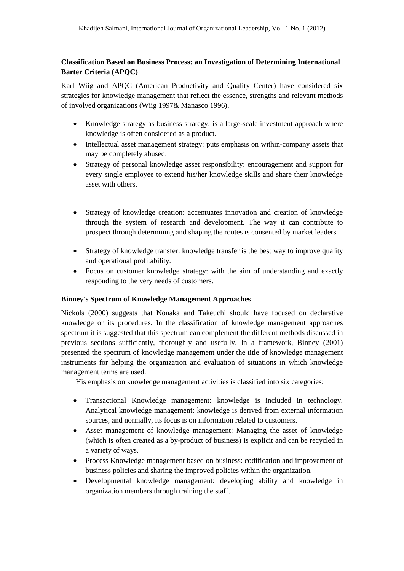# **Classification Based on Business Process: an Investigation of Determining International Barter Criteria (APQC)**

Karl Wiig and APQC (American Productivity and Quality Center) have considered six strategies for knowledge management that reflect the essence, strengths and relevant methods of involved organizations (Wiig 1997& Manasco 1996).

- Knowledge strategy as business strategy: is a large-scale investment approach where knowledge is often considered as a product.
- Intellectual asset management strategy: puts emphasis on within-company assets that may be completely abused.
- · Strategy of personal knowledge asset responsibility: encouragement and support for every single employee to extend his/her knowledge skills and share their knowledge asset with others.
- · Strategy of knowledge creation: accentuates innovation and creation of knowledge through the system of research and development. The way it can contribute to prospect through determining and shaping the routes is consented by market leaders.
- Strategy of knowledge transfer: knowledge transfer is the best way to improve quality and operational profitability.
- · Focus on customer knowledge strategy: with the aim of understanding and exactly responding to the very needs of customers.

# **Binney's Spectrum of Knowledge Management Approaches**

Nickols (2000) suggests that Nonaka and Takeuchi should have focused on declarative knowledge or its procedures. In the classification of knowledge management approaches spectrum it is suggested that this spectrum can complement the different methods discussed in previous sections sufficiently, thoroughly and usefully. In a framework, Binney (2001) presented the spectrum of knowledge management under the title of knowledge management instruments for helping the organization and evaluation of situations in which knowledge management terms are used.

His emphasis on knowledge management activities is classified into six categories:

- · Transactional Knowledge management: knowledge is included in technology. Analytical knowledge management: knowledge is derived from external information sources, and normally, its focus is on information related to customers.
- · Asset management of knowledge management: Managing the asset of knowledge (which is often created as a by-product of business) is explicit and can be recycled in a variety of ways.
- · Process Knowledge management based on business: codification and improvement of business policies and sharing the improved policies within the organization.
- · Developmental knowledge management: developing ability and knowledge in organization members through training the staff.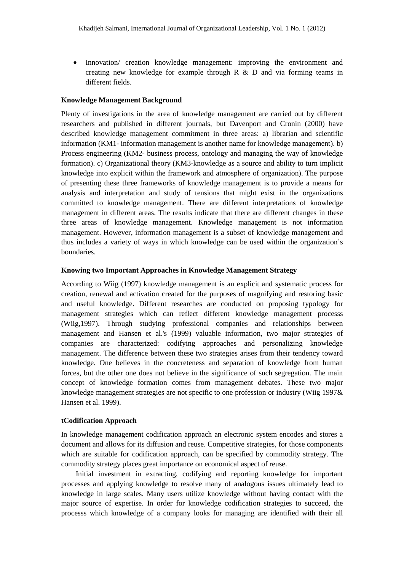Innovation/ creation knowledge management: improving the environment and creating new knowledge for example through R  $\&$  D and via forming teams in different fields.

## **Knowledge Management Background**

Plenty of investigations in the area of knowledge management are carried out by different researchers and published in different journals, but Davenport and Cronin (2000) have described knowledge management commitment in three areas: a) librarian and scientific information (KM1- information management is another name for knowledge management). b) Process engineering (KM2- business process, ontology and managing the way of knowledge formation). c) Organizational theory (KM3-knowledge as a source and ability to turn implicit knowledge into explicit within the framework and atmosphere of organization). The purpose of presenting these three frameworks of knowledge management is to provide a means for analysis and interpretation and study of tensions that might exist in the organizations committed to knowledge management. There are different interpretations of knowledge management in different areas. The results indicate that there are different changes in these three areas of knowledge management. Knowledge management is not information management. However, information management is a subset of knowledge management and thus includes a variety of ways in which knowledge can be used within the organization's boundaries.

#### **Knowing two Important Approaches in Knowledge Management Strategy**

According to Wiig (1997) knowledge management is an explicit and systematic process for creation, renewal and activation created for the purposes of magnifying and restoring basic and useful knowledge. Different researches are conducted on proposing typology for management strategies which can reflect different knowledge management processs (Wiig,1997). Through studying professional companies and relationships between management and Hansen et al.'s (1999) valuable information, two major strategies of companies are characterized: codifying approaches and personalizing knowledge management. The difference between these two strategies arises from their tendency toward knowledge. One believes in the concreteness and separation of knowledge from human forces, but the other one does not believe in the significance of such segregation. The main concept of knowledge formation comes from management debates. These two major knowledge management strategies are not specific to one profession or industry (Wiig 1997& Hansen et al. 1999).

# **tCodification Approach**

In knowledge management codification approach an electronic system encodes and stores a document and allows for its diffusion and reuse. Competitive strategies, for those components which are suitable for codification approach, can be specified by commodity strategy. The commodity strategy places great importance on economical aspect of reuse.

Initial investment in extracting, codifying and reporting knowledge for important processes and applying knowledge to resolve many of analogous issues ultimately lead to knowledge in large scales. Many users utilize knowledge without having contact with the major source of expertise. In order for knowledge codification strategies to succeed, the processs which knowledge of a company looks for managing are identified with their all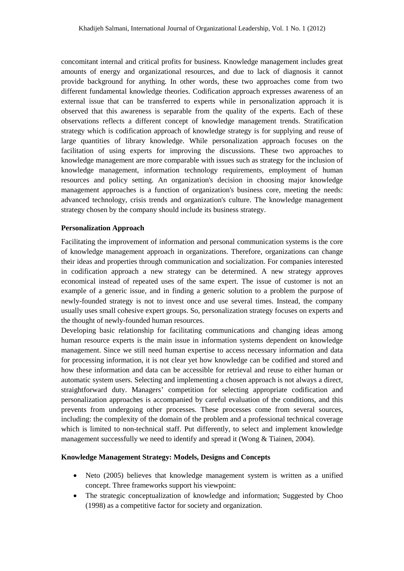concomitant internal and critical profits for business. Knowledge management includes great amounts of energy and organizational resources, and due to lack of diagnosis it cannot provide background for anything. In other words, these two approaches come from two different fundamental knowledge theories. Codification approach expresses awareness of an external issue that can be transferred to experts while in personalization approach it is observed that this awareness is separable from the quality of the experts. Each of these observations reflects a different concept of knowledge management trends. Stratification strategy which is codification approach of knowledge strategy is for supplying and reuse of large quantities of library knowledge. While personalization approach focuses on the facilitation of using experts for improving the discussions. These two approaches to knowledge management are more comparable with issues such as strategy for the inclusion of knowledge management, information technology requirements, employment of human resources and policy setting. An organization's decision in choosing major knowledge management approaches is a function of organization's business core, meeting the needs: advanced technology, crisis trends and organization's culture. The knowledge management strategy chosen by the company should include its business strategy.

# **Personalization Approach**

Facilitating the improvement of information and personal communication systems is the core of knowledge management approach in organizations. Therefore, organizations can change their ideas and properties through communication and socialization. For companies interested in codification approach a new strategy can be determined. A new strategy approves economical instead of repeated uses of the same expert. The issue of customer is not an example of a generic issue, and in finding a generic solution to a problem the purpose of newly-founded strategy is not to invest once and use several times. Instead, the company usually uses small cohesive expert groups. So, personalization strategy focuses on experts and the thought of newly-founded human resources.

Developing basic relationship for facilitating communications and changing ideas among human resource experts is the main issue in information systems dependent on knowledge management. Since we still need human expertise to access necessary information and data for processing information, it is not clear yet how knowledge can be codified and stored and how these information and data can be accessible for retrieval and reuse to either human or automatic system users. Selecting and implementing a chosen approach is not always a direct, straightforward duty. Managers' competition for selecting appropriate codification and personalization approaches is accompanied by careful evaluation of the conditions, and this prevents from undergoing other processes. These processes come from several sources, including: the complexity of the domain of the problem and a professional technical coverage which is limited to non-technical staff. Put differently, to select and implement knowledge management successfully we need to identify and spread it (Wong & Tiainen, 2004).

# **Knowledge Management Strategy: Models, Designs and Concepts**

- Neto (2005) believes that knowledge management system is written as a unified concept. Three frameworks support his viewpoint:
- The strategic conceptualization of knowledge and information; Suggested by Choo (1998) as a competitive factor for society and organization.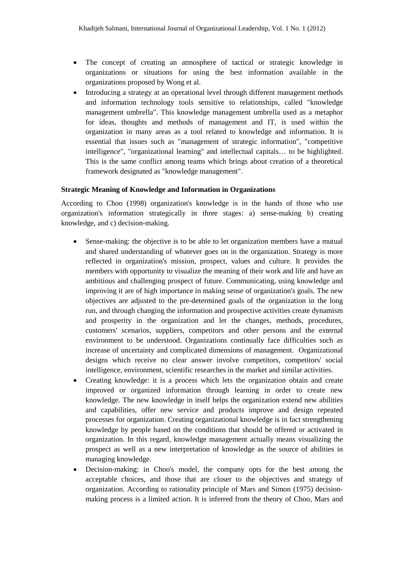- The concept of creating an atmosphere of tactical or strategic knowledge in organizations or situations for using the best information available in the organizations proposed by Wong et al.
- Introducing a strategy at an operational level through different management methods and information technology tools sensitive to relationships, called "knowledge management umbrella". This knowledge management umbrella used as a metaphor for ideas, thoughts and methods of management and IT, is used within the organization in many areas as a tool related to knowledge and information. It is essential that issues such as "management of strategic information", "competitive intelligence", "organizational learning" and intellectual capitals… to be highlighted. This is the same conflict among teams which brings about creation of a theoretical framework designated as "knowledge management".

# **Strategic Meaning of Knowledge and Information in Organizations**

According to Choo (1998) organization's knowledge is in the hands of those who use organization's information strategically in three stages: a) sense-making b) creating knowledge, and c) decision-making.

- Sense-making: the objective is to be able to let organization members have a mutual and shared understanding of whatever goes on in the organization. Strategy is more reflected in organization's mission, prospect, values and culture. It provides the members with opportunity to visualize the meaning of their work and life and have an ambitious and challenging prospect of future. Communicating, using knowledge and improving it are of high importance in making sense of organization's goals. The new objectives are adjusted to the pre-determined goals of the organization in the long run, and through changing the information and prospective activities create dynamism and prosperity in the organization and let the changes, methods, procedures, customers' scenarios, suppliers, competitors and other persons and the external environment to be understood. Organizations continually face difficulties such as increase of uncertainty and complicated dimensions of management. Organizational designs which receive no clear answer involve competitors, competitors' social intelligence, environment, scientific researches in the market and similar activities.
- · Creating knowledge: it is a process which lets the organization obtain and create improved or organized information through learning in order to create new knowledge. The new knowledge in itself helps the organization extend new abilities and capabilities, offer new service and products improve and design repeated processes for organization. Creating organizational knowledge is in fact strengthening knowledge by people based on the conditions that should be offered or activated in organization. In this regard, knowledge management actually means visualizing the prospect as well as a new interpretation of knowledge as the source of abilities in managing knowledge.
- Decision-making: in Choo's model, the company opts for the best among the acceptable choices, and those that are closer to the objectives and strategy of organization. According to rationality principle of Mars and Simon (1975) decisionmaking process is a limited action. It is inferred from the theory of Choo, Mars and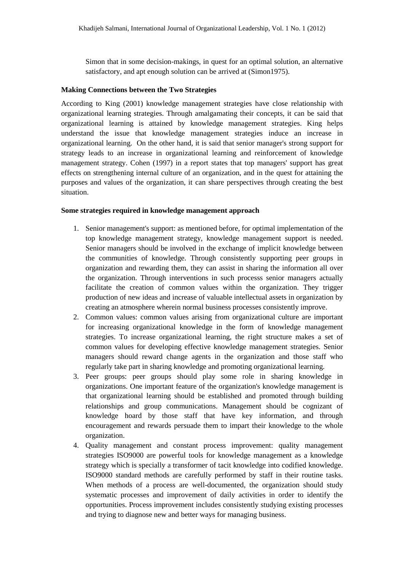Simon that in some decision-makings, in quest for an optimal solution, an alternative satisfactory, and apt enough solution can be arrived at (Simon1975).

#### **Making Connections between the Two Strategies**

According to King (2001) knowledge management strategies have close relationship with organizational learning strategies. Through amalgamating their concepts, it can be said that organizational learning is attained by knowledge management strategies. King helps understand the issue that knowledge management strategies induce an increase in organizational learning. On the other hand, it is said that senior manager's strong support for strategy leads to an increase in organizational learning and reinforcement of knowledge management strategy. Cohen (1997) in a report states that top managers' support has great effects on strengthening internal culture of an organization, and in the quest for attaining the purposes and values of the organization, it can share perspectives through creating the best situation.

#### **Some strategies required in knowledge management approach**

- 1. Senior management's support: as mentioned before, for optimal implementation of the top knowledge management strategy, knowledge management support is needed. Senior managers should be involved in the exchange of implicit knowledge between the communities of knowledge. Through consistently supporting peer groups in organization and rewarding them, they can assist in sharing the information all over the organization. Through interventions in such processs senior managers actually facilitate the creation of common values within the organization. They trigger production of new ideas and increase of valuable intellectual assets in organization by creating an atmosphere wherein normal business processes consistently improve.
- 2. Common values: common values arising from organizational culture are important for increasing organizational knowledge in the form of knowledge management strategies. To increase organizational learning, the right structure makes a set of common values for developing effective knowledge management strategies. Senior managers should reward change agents in the organization and those staff who regularly take part in sharing knowledge and promoting organizational learning.
- 3. Peer groups: peer groups should play some role in sharing knowledge in organizations. One important feature of the organization's knowledge management is that organizational learning should be established and promoted through building relationships and group communications. Management should be cognizant of knowledge hoard by those staff that have key information, and through encouragement and rewards persuade them to impart their knowledge to the whole organization.
- 4. Quality management and constant process improvement: quality management strategies ISO9000 are powerful tools for knowledge management as a knowledge strategy which is specially a transformer of tacit knowledge into codified knowledge. ISO9000 standard methods are carefully performed by staff in their routine tasks. When methods of a process are well-documented, the organization should study systematic processes and improvement of daily activities in order to identify the opportunities. Process improvement includes consistently studying existing processes and trying to diagnose new and better ways for managing business.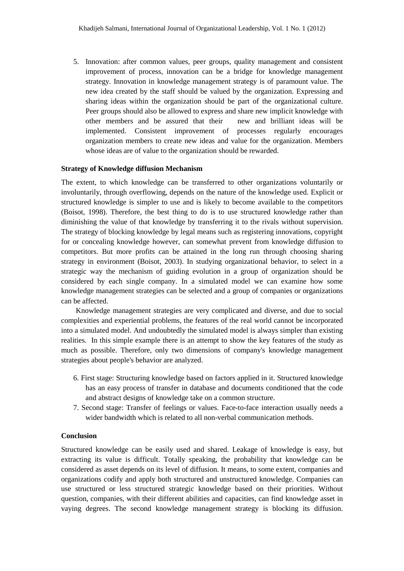5. Innovation: after common values, peer groups, quality management and consistent improvement of process, innovation can be a bridge for knowledge management strategy. Innovation in knowledge management strategy is of paramount value. The new idea created by the staff should be valued by the organization. Expressing and sharing ideas within the organization should be part of the organizational culture. Peer groups should also be allowed to express and share new implicit knowledge with other members and be assured that their new and brilliant ideas will be implemented. Consistent improvement of processes regularly encourages organization members to create new ideas and value for the organization. Members whose ideas are of value to the organization should be rewarded.

# **Strategy of Knowledge diffusion Mechanism**

The extent, to which knowledge can be transferred to other organizations voluntarily or involuntarily, through overflowing, depends on the nature of the knowledge used. Explicit or structured knowledge is simpler to use and is likely to become available to the competitors (Boisot, 1998). Therefore, the best thing to do is to use structured knowledge rather than diminishing the value of that knowledge by transferring it to the rivals without supervision. The strategy of blocking knowledge by legal means such as registering innovations, copyright for or concealing knowledge however, can somewhat prevent from knowledge diffusion to competitors. But more profits can be attained in the long run through choosing sharing strategy in environment (Boisot, 2003). In studying organizational behavior, to select in a strategic way the mechanism of guiding evolution in a group of organization should be considered by each single company. In a simulated model we can examine how some knowledge management strategies can be selected and a group of companies or organizations can be affected.

Knowledge management strategies are very complicated and diverse, and due to social complexities and experiential problems, the features of the real world cannot be incorporated into a simulated model. And undoubtedly the simulated model is always simpler than existing realities. In this simple example there is an attempt to show the key features of the study as much as possible. Therefore, only two dimensions of company's knowledge management strategies about people's behavior are analyzed.

- 6. First stage: Structuring knowledge based on factors applied in it. Structured knowledge has an easy process of transfer in database and documents conditioned that the code and abstract designs of knowledge take on a common structure.
- 7. Second stage: Transfer of feelings or values. Face-to-face interaction usually needs a wider bandwidth which is related to all non-verbal communication methods.

# **Conclusion**

Structured knowledge can be easily used and shared. Leakage of knowledge is easy, but extracting its value is difficult. Totally speaking, the probability that knowledge can be considered as asset depends on its level of diffusion. It means, to some extent, companies and organizations codify and apply both structured and unstructured knowledge. Companies can use structured or less structured strategic knowledge based on their priorities. Without question, companies, with their different abilities and capacities, can find knowledge asset in vaying degrees. The second knowledge management strategy is blocking its diffusion.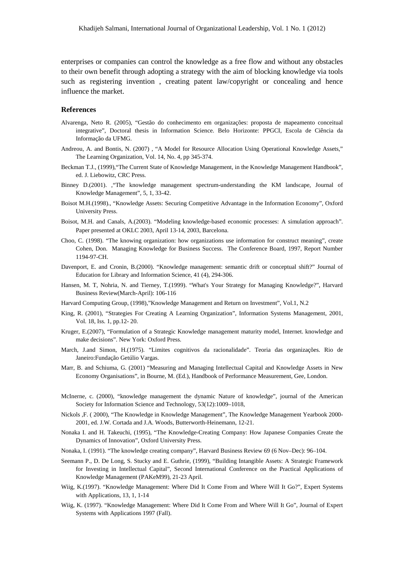enterprises or companies can control the knowledge as a free flow and without any obstacles to their own benefit through adopting a strategy with the aim of blocking knowledge via tools such as registering invention , creating patent law/copyright or concealing and hence influence the market.

#### **References**

- Alvarenga, Neto R. (2005), "Gestão do conhecimento em organizações: proposta de mapeamento conceitual integrative", Doctoral thesis in Information Science. Belo Horizonte: PPGCI, Escola de Ciência da Informação da UFMG.
- Andreou, A. and Bontis, N. (2007) , "A Model for Resource Allocation Using Operational Knowledge Assets," The Learning Organization, Vol. 14, No. 4, pp 345-374.
- Beckman T.J., (1999),"The Current State of Knowledge Management, in the Knowledge Management Handbook", ed. J. Liebowitz, CRC Press.
- Binney D.(2001). ,"The knowledge management spectrum-understanding the KM landscape, Journal of Knowledge Management", 5, 1, 33-42.
- Boisot M.H.(1998)., "Knowledge Assets: Securing Competitive Advantage in the Information Economy", Oxford University Press.
- Boisot, M.H. and Canals, A.(2003). "Modeling knowledge‐based economic processes: A simulation approach". Paper presented at OKLC 2003, April 13‐14, 2003, Barcelona.
- Choo, C. (1998). "The knowing organization: how organizations use information for construct meaning", create Cohen, Don. Managing Knowledge for Business Success. The Conference Board, 1997, Report Number 1194-97-CH.
- Davenport, E. and Cronin, B.(2000). "Knowledge management: semantic drift or conceptual shift?" Journal of Education for Library and Information Science, 41 (4), 294-306.
- Hansen, M. T, Nohria, N. and Tierney, T.(1999). "What's Your Strategy for Managing Knowledge?", Harvard Business Review(March-April): 106-116
- Harvard Computing Group, (1998),"Knowledge Management and Return on Investment", Vol.1, N.2
- King, R. (2001), "Strategies For Creating A Learning Organization", Information Systems Management, 2001, Vol. 18, Iss. 1, pp.12- 20.
- Kruger, E.(2007), "Formulation of a Strategic Knowledge management maturity model, Internet. knowledge and make decisions". New York: Oxford Press.
- March, J.and Simon, H.(1975). "Limites cognitivos da racionalidade". Teoria das organizações. Rio de Janeiro:Fundação Getúlio Vargas.
- Marr, B. and Schiuma, G. (2001) "Measuring and Managing Intellectual Capital and Knowledge Assets in New Economy Organisations", in Bourne, M. (Ed.), Handbook of Performance Measurement, Gee, London.
- McInerne, c. (2000), "knowledge management the dynamic Nature of knowledge", journal of the American Society for Information Science and Technology, 53(12):1009–1018,
- Nickols ,F. ( 2000), "The Knowledge in Knowledge Management", The Knowledge Management Yearbook 2000- 2001, ed. J.W. Cortada and J.A. Woods, Butterworth-Heinemann, 12-21.
- Nonaka I. and H. Takeuchi, (1995), "The Knowledge-Creating Company: How Japanese Companies Create the Dynamics of Innovation", Oxford University Press.
- Nonaka, I. (1991). "The knowledge creating company", Harvard Business Review 69 (6 Nov–Dec): 96–104.
- Seemann P., D. De Long, S. Stucky and E. Guthrie, (1999), "Building Intangible Assets: A Strategic Framework for Investing in Intellectual Capital", Second International Conference on the Practical Applications of Knowledge Management (PAKeM99), 21-23 April.
- Wiig, K.(1997). "Knowledge Management: Where Did It Come From and Where Will It Go?", Expert Systems with Applications, 13, 1, 1-14
- Wiig, K. (1997). "Knowledge Management: Where Did It Come From and Where Will It Go", Journal of Expert Systems with Applications 1997 (Fall).